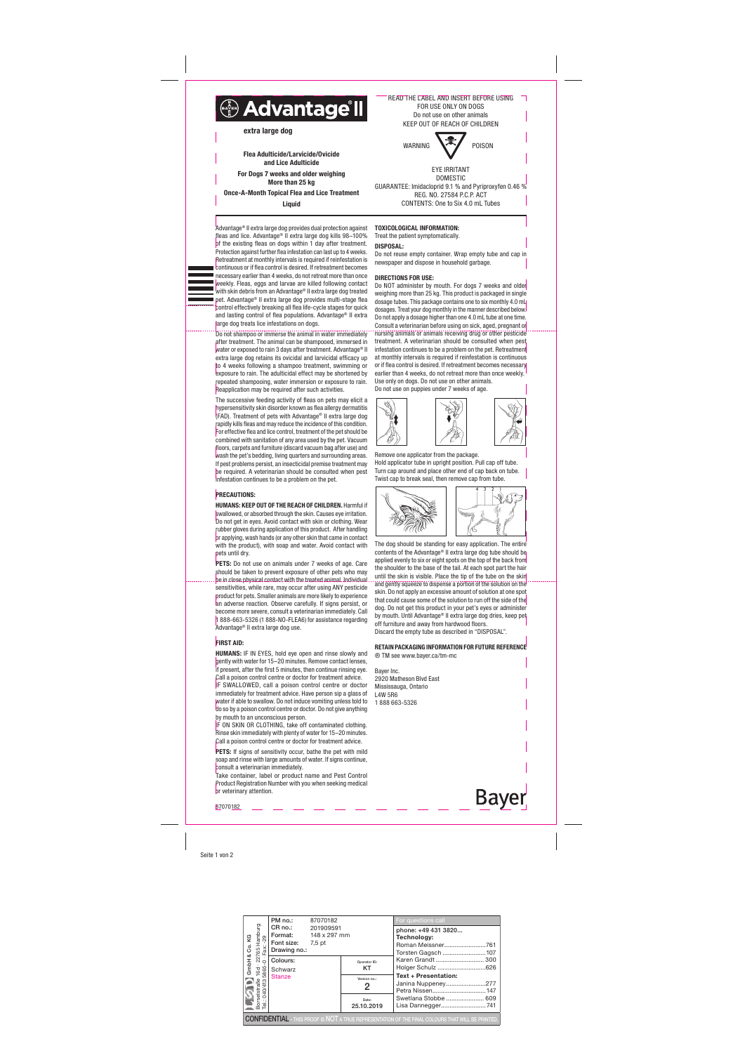Seite 1 von 2

Advantage® II extra large dog provides dual protection against fleas and lice. Advantage® II extra large dog kills 98–100% of the existing fleas on dogs within 1 day after treatment. Protection against further flea infestation can last up to 4 weeks. Retreatment at monthly intervals is required if reinfestation is continuous or if flea control is desired. If retreatment becomes necessary earlier than 4 weeks, do not retreat more than once weekly. Fleas, eggs and larvae are killed following contact with skin debris from an Advantage® II extra large dog treated pet. Advantage® II extra large dog provides multi-stage flea control effectively breaking all flea life-cycle stages for quick and lasting control of flea populations. Advantage® II extra large dog treats lice infestations on dogs.

Do not shampoo or immerse the animal in water immediately after treatment. The animal can be shampooed, immersed in water or exposed to rain 3 days after treatment. Advantage® II extra large dog retains its ovicidal and larvicidal efficacy up to 4 weeks following a shampoo treatment, swimming or exposure to rain. The adulticidal effect may be shortened by repeated shampooing, water immersion or exposure to rain. Reapplication may be required after such activities.

PETS: Do not use on animals under 7 weeks of age. Care should be taken to prevent exposure of other pets who may be in close physical contact with the treated animal. Individual sensitivities, while rare, may occur after using ANY pesticide product for pets. Smaller animals are more likely to experience an adverse reaction. Observe carefully. If signs persist, or become more severe, consult a veterinarian immediately. Call 1 888-663-5326 (1 888-NO-FLEA6) for assistance regarding Advantage® II extra large dog use.

## **FIRST AID:**

The successive feeding activity of fleas on pets may elicit a hypersensitivity skin disorder known as flea allergy dermatitis (FAD). Treatment of pets with Advantage® II extra large dog rapidly kills fleas and may reduce the incidence of this condition. For effective flea and lice control, treatment of the pet should be combined with sanitation of any area used by the pet. Vacuum floors, carpets and furniture (discard vacuum bag after use) and wash the pet's bedding, living quarters and surrounding areas. If pest problems persist, an insecticidal premise treatment may be required. A veterinarian should be consulted when pest infestation continues to be a problem on the pet.

### **PRECAUTIONS:**

IF ON SKIN OR CLOTHING, take off contaminated clothing. Rinse skin immediately with plenty of water for 15–20 minutes. Call a poison control centre or doctor for treatment advice.

PETS: If signs of sensitivity occur, bathe the pet with mild soap and rinse with large amounts of water. If signs continue, consult a veterinarian immediately.

HUMANS: KEEP OUT OF THE REACH OF CHILDREN. Harmful if swallowed, or absorbed through the skin. Causes eye irritation. Do not get in eyes. Avoid contact with skin or clothing. Wear rubber gloves during application of this product. After handling or applying, wash hands (or any other skin that came in contact with the product), with soap and water. Avoid contact with pets until dry.

Do NOT administer by mouth. For dogs 7 weeks and older weighing more than 25 kg. This product is packaged in single dosage tubes. This package contains one to six monthly 4.0 mL dosages. Treat your dog monthly in the manner described below. Do not apply a dosage higher than one 4.0 mL tube at one time. Consult a veterinarian before using on sick, aged, pregnant or nursing animals or animals receiving drug or other pesticide treatment. A veterinarian should be consulted when pest infestation continues to be a problem on the pet. Retreatment at monthly intervals is required if reinfestation is continuous or if flea control is desired. If retreatment becomes necessary earlier than 4 weeks, do not retreat more than once weekly. Use only on dogs. Do not use on other animals. Do not use on puppies under 7 weeks of age.



**Bayer** 87070182

HUMANS: IF IN EYES, hold eye open and rinse slowly and gently with water for 15–20 minutes. Remove contact lenses, if present, after the first 5 minutes, then continue rinsing eye. Call a poison control centre or doctor for treatment advice. IF SWALLOWED, call a poison control centre or doctor immediately for treatment advice. Have person sip a glass of water if able to swallow. Do not induce vomiting unless told to do so by a poison control centre or doctor. Do not give anything by mouth to an unconscious person.

Take container, label or product name and Pest Control Product Registration Number with you when seeking medical or veterinary attention.

# TOXICOLOGICAL INFORMATION:

Treat the patient symptomatically.

DISPOSAL: Do not reuse empty container. Wrap empty tube and cap in newspaper and dispose in household garbage.

## DIRECTIONS FOR USE:

Remove one applicator from the package. Hold applicator tube in upright position. Pull cap off tube. Turn cap around and place other end of cap back on tube. Twist cap to break seal, then remove cap from tube.



The dog should be standing for easy application. The entire contents of the Advantage® II extra large dog tube should be applied evenly to six or eight spots on the top of the back from the shoulder to the base of the tail. At each spot part the hair until the skin is visible. Place the tip of the tube on the skin and gently squeeze to dispense a portion of the solution on the skin. Do not apply an excessive amount of solution at one spot that could cause some of the solution to run off the side of the dog. Do not get this product in your pet's eyes or administer by mouth. Until Advantage® II extra large dog dries, keep pet off furniture and away from hardwood floors. Discard the empty tube as described in "DISPOSAL".

# RETAIN PACKAGING INFORMATION FOR FUTURE REFERENCE ® TM see www.bayer.ca/tm-mc





EYE IRRITANT DOMESTIC GUARANTEE: Imidacloprid 9.1 % and Pyriproxyfen 0.46 % REG. NO. 27584 P.C.P. ACT CONTENTS: One to Six 4.0 mL Tubes

Flea Adulticide/Larvicide/Ovicide and Lice Adulticide For Dogs 7 weeks and older weighing More than 25 kg Once-A-Month Topical Flea and Lice Treatment

**Liquid** 

| Co.KG                                                                                                    | PM no.:                                                                                                                                                                                                                                                                               | 87070182  |                     | For questions call                                                            |  |  |  |  |
|----------------------------------------------------------------------------------------------------------|---------------------------------------------------------------------------------------------------------------------------------------------------------------------------------------------------------------------------------------------------------------------------------------|-----------|---------------------|-------------------------------------------------------------------------------|--|--|--|--|
|                                                                                                          | <b>Format:</b> 148 x 297 mm<br>Font size: 7,5 pt<br>Drawing no.:                                                                                                                                                                                                                      | 201909591 |                     | phone: +49 431 3820<br>Technology:<br>Roman Meissner761<br>Torsten Gagsch 107 |  |  |  |  |
| ∝<br>GmbH                                                                                                | Primate<br>En Roi.<br>CR no.:<br>Fort size<br>Fort size<br>Fort size<br>Fort size<br>Fort size<br>Fort size<br>Fort size<br>Scale<br>Scale<br>Scale<br>Scale<br>Scale<br>Scale<br>Scale<br>Scale<br>Scale<br>Scale<br>Scale<br>Scale<br>Scale<br>Scale<br>Scale<br>Scale<br>Scale<br> |           | Operator ID:<br>KT  | Karen Grandt  300<br>Holger Schulz 626                                        |  |  |  |  |
|                                                                                                          |                                                                                                                                                                                                                                                                                       |           | Version no.:<br>2   | <b>Text + Presentation:</b><br>Janina Nuppeney277                             |  |  |  |  |
|                                                                                                          |                                                                                                                                                                                                                                                                                       |           | Date:<br>25.10.2019 | Swetlana Stobbe  609<br>Lisa Dannegger741                                     |  |  |  |  |
| <b>CONFIDENTIAL</b> - THIS PROOF IS NOT A TRUE REPRESENTATION OF THE FINAL COLOURS THAT WILL BE PRINTED. |                                                                                                                                                                                                                                                                                       |           |                     |                                                                               |  |  |  |  |